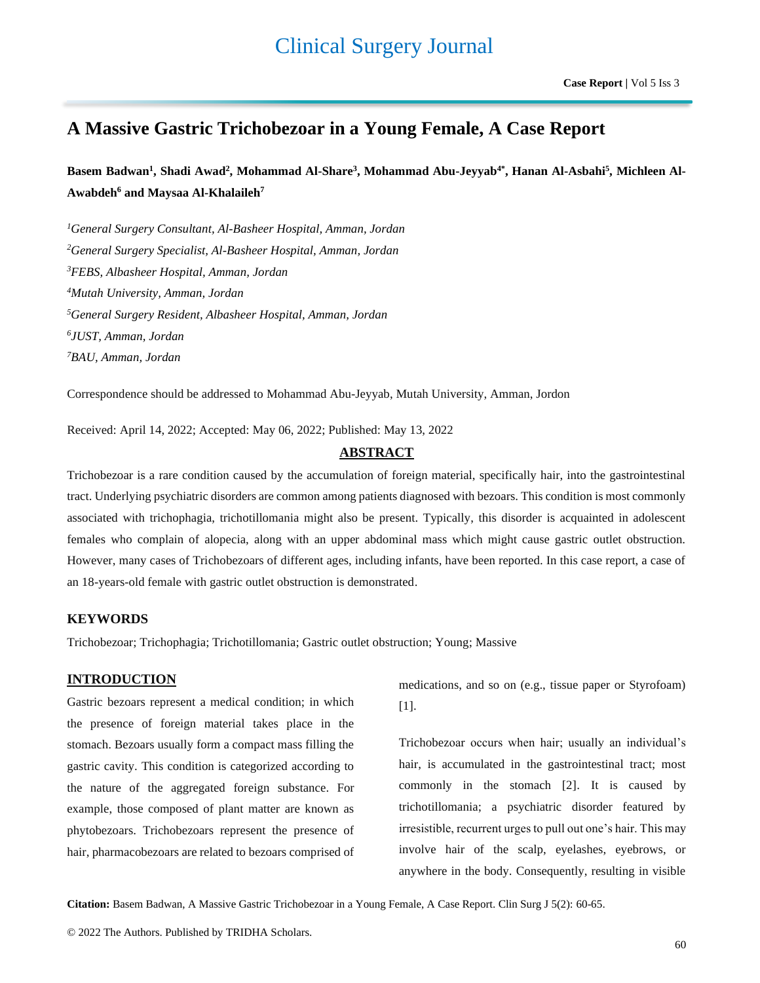# **A Massive Gastric Trichobezoar in a Young Female, A Case Report**

Basem Badwan<sup>1</sup>, Shadi Awad<sup>2</sup>, Mohammad Al-Share<sup>3</sup>, Mohammad Abu-Jeyyab<sup>4\*</sup>, Hanan Al-Asbahi<sup>5</sup>, Michleen Al-**Awabdeh<sup>6</sup> and Maysaa Al-Khalaileh<sup>7</sup>**

*General Surgery Consultant, Al-Basheer Hospital, Amman, Jordan General Surgery Specialist, Al-Basheer Hospital, Amman, Jordan FEBS, Albasheer Hospital, Amman, Jordan Mutah University, Amman, Jordan General Surgery Resident, Albasheer Hospital, Amman, Jordan JUST, Amman, Jordan BAU, Amman, Jordan*

Correspondence should be addressed to Mohammad Abu-Jeyyab, Mutah University, Amman, Jordon

Received: April 14, 2022; Accepted: May 06, 2022; Published: May 13, 2022

# **ABSTRACT**

Trichobezoar is a rare condition caused by the accumulation of foreign material, specifically hair, into the gastrointestinal tract. Underlying psychiatric disorders are common among patients diagnosed with bezoars. This condition is most commonly associated with trichophagia, trichotillomania might also be present. Typically, this disorder is acquainted in adolescent females who complain of alopecia, along with an upper abdominal mass which might cause gastric outlet obstruction. However, many cases of Trichobezoars of different ages, including infants, have been reported. In this case report, a case of an 18-years-old female with gastric outlet obstruction is demonstrated.

# **KEYWORDS**

Trichobezoar; Trichophagia; Trichotillomania; Gastric outlet obstruction; Young; Massive

# **INTRODUCTION**

Gastric bezoars represent a medical condition; in which the presence of foreign material takes place in the stomach. Bezoars usually form a compact mass filling the gastric cavity. This condition is categorized according to the nature of the aggregated foreign substance. For example, those composed of plant matter are known as phytobezoars. Trichobezoars represent the presence of hair, pharmacobezoars are related to bezoars comprised of

medications, and so on (e.g., tissue paper or Styrofoam) [1].

Trichobezoar occurs when hair; usually an individual's hair, is accumulated in the gastrointestinal tract; most commonly in the stomach [2]. It is caused by trichotillomania; a psychiatric disorder featured by irresistible, recurrent urges to pull out one's hair. This may involve hair of the scalp, eyelashes, eyebrows, or anywhere in the body. Consequently, resulting in visible

**Citation:** Basem Badwan, A Massive Gastric Trichobezoar in a Young Female, A Case Report. Clin Surg J 5(2): 60-65.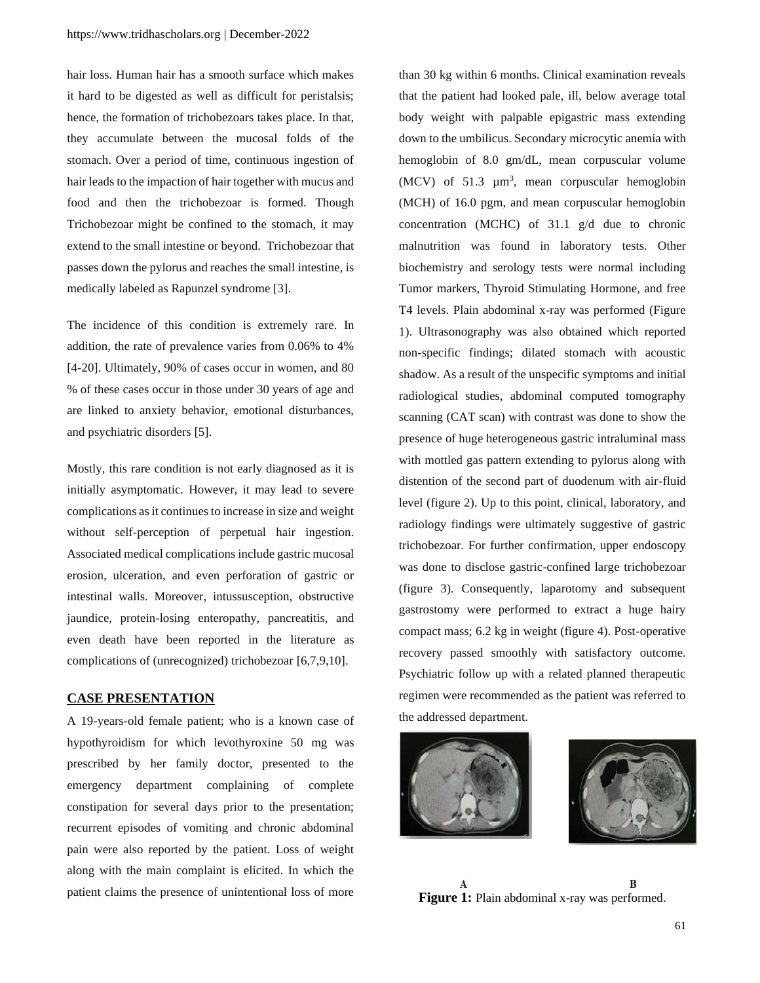hair loss. Human hair has a smooth surface which makes it hard to be digested as well as difficult for peristalsis; hence, the formation of trichobezoars takes place. In that, they accumulate between the mucosal folds of the stomach. Over a period of time, continuous ingestion of hair leads to the impaction of hair together with mucus and food and then the trichobezoar is formed. Though Trichobezoar might be confined to the stomach, it may extend to the small intestine or beyond. Trichobezoar that passes down the pylorus and reaches the small intestine, is medically labeled as Rapunzel syndrome [3].

The incidence of this condition is extremely rare. In addition, the rate of prevalence varies from 0.06% to 4% [4-20]. Ultimately, 90% of cases occur in women, and 80 % of these cases occur in those under 30 years of age and are linked to anxiety behavior, emotional disturbances, and psychiatric disorders [5].

Mostly, this rare condition is not early diagnosed as it is initially asymptomatic. However, it may lead to severe complications as it continues to increase in size and weight without self-perception of perpetual hair ingestion. Associated medical complications include gastric mucosal erosion, ulceration, and even perforation of gastric or intestinal walls. Moreover, intussusception, obstructive jaundice, protein-losing enteropathy, pancreatitis, and even death have been reported in the literature as complications of (unrecognized) trichobezoar [6,7,9,10].

#### **CASE PRESENTATION**

A 19-years-old female patient; who is a known case of hypothyroidism for which levothyroxine 50 mg was prescribed by her family doctor, presented to the emergency department complaining of complete constipation for several days prior to the presentation; recurrent episodes of vomiting and chronic abdominal pain were also reported by the patient. Loss of weight along with the main complaint is elicited. In which the patient claims the presence of unintentional loss of more

than 30 kg within 6 months. Clinical examination reveals that the patient had looked pale, ill, below average total body weight with palpable epigastric mass extending down to the umbilicus. Secondary microcytic anemia with hemoglobin of 8.0 gm/dL, mean corpuscular volume  $(MCV)$  of 51.3  $\mu$ m<sup>3</sup>, mean corpuscular hemoglobin (MCH) of 16.0 pgm, and mean corpuscular hemoglobin concentration (MCHC) of 31.1 g/d due to chronic malnutrition was found in laboratory tests. Other biochemistry and serology tests were normal including Tumor markers, Thyroid Stimulating Hormone, and free T4 levels. Plain abdominal x-ray was performed (Figure 1). Ultrasonography was also obtained which reported non-specific findings; dilated stomach with acoustic shadow. As a result of the unspecific symptoms and initial radiological studies, abdominal computed tomography scanning (CAT scan) with contrast was done to show the presence of huge heterogeneous gastric intraluminal mass with mottled gas pattern extending to pylorus along with distention of the second part of duodenum with air-fluid level (figure 2). Up to this point, clinical, laboratory, and radiology findings were ultimately suggestive of gastric trichobezoar. For further confirmation, upper endoscopy was done to disclose gastric-confined large trichobezoar (figure 3). Consequently, laparotomy and subsequent gastrostomy were performed to extract a huge hairy compact mass; 6.2 kg in weight (figure 4). Post-operative recovery passed smoothly with satisfactory outcome. Psychiatric follow up with a related planned therapeutic regimen were recommended as the patient was referred to the addressed department.





B A **Figure 1:** Plain abdominal x-ray was performed.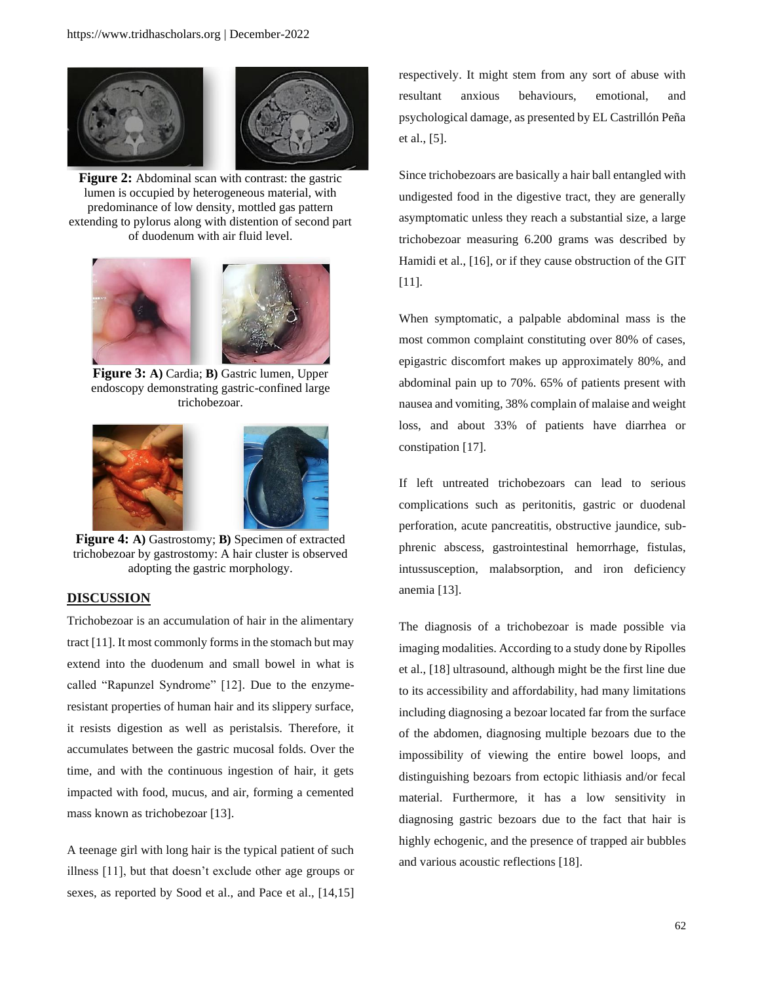

**Figure 2:** Abdominal scan with contrast: the gastric lumen is occupied by heterogeneous material, with predominance of low density, mottled gas pattern extending to pylorus along with distention of second part of duodenum with air fluid level.



**Figure 3: A)** Cardia; **B)** Gastric lumen, Upper endoscopy demonstrating gastric-confined large trichobezoar.



**Figure 4: A)** Gastrostomy; **B)** Specimen of extracted trichobezoar by gastrostomy: A hair cluster is observed adopting the gastric morphology.

## **DISCUSSION**

Trichobezoar is an accumulation of hair in the alimentary tract [11]. It most commonly forms in the stomach but may extend into the duodenum and small bowel in what is called "Rapunzel Syndrome" [12]. Due to the enzymeresistant properties of human hair and its slippery surface, it resists digestion as well as peristalsis. Therefore, it accumulates between the gastric mucosal folds. Over the time, and with the continuous ingestion of hair, it gets impacted with food, mucus, and air, forming a cemented mass known as trichobezoar [13].

A teenage girl with long hair is the typical patient of such illness [11], but that doesn't exclude other age groups or sexes, as reported by Sood et al., and Pace et al., [14,15]

respectively. It might stem from any sort of abuse with resultant anxious behaviours, emotional, and psychological damage, as presented by EL Castrillón Peña et al., [5].

Since trichobezoars are basically a hair ball entangled with undigested food in the digestive tract, they are generally asymptomatic unless they reach a substantial size, a large trichobezoar measuring 6.200 grams was described by Hamidi et al., [16], or if they cause obstruction of the GIT [11].

When symptomatic, a palpable abdominal mass is the most common complaint constituting over 80% of cases, epigastric discomfort makes up approximately 80%, and abdominal pain up to 70%. 65% of patients present with nausea and vomiting, 38% complain of malaise and weight loss, and about 33% of patients have diarrhea or constipation [17].

If left untreated trichobezoars can lead to serious complications such as peritonitis, gastric or duodenal perforation, acute pancreatitis, obstructive jaundice, subphrenic abscess, gastrointestinal hemorrhage, fistulas, intussusception, malabsorption, and iron deficiency anemia [13].

The diagnosis of a trichobezoar is made possible via imaging modalities. According to a study done by Ripolles et al., [18] ultrasound, although might be the first line due to its accessibility and affordability, had many limitations including diagnosing a bezoar located far from the surface of the abdomen, diagnosing multiple bezoars due to the impossibility of viewing the entire bowel loops, and distinguishing bezoars from ectopic lithiasis and/or fecal material. Furthermore, it has a low sensitivity in diagnosing gastric bezoars due to the fact that hair is highly echogenic, and the presence of trapped air bubbles and various acoustic reflections [18].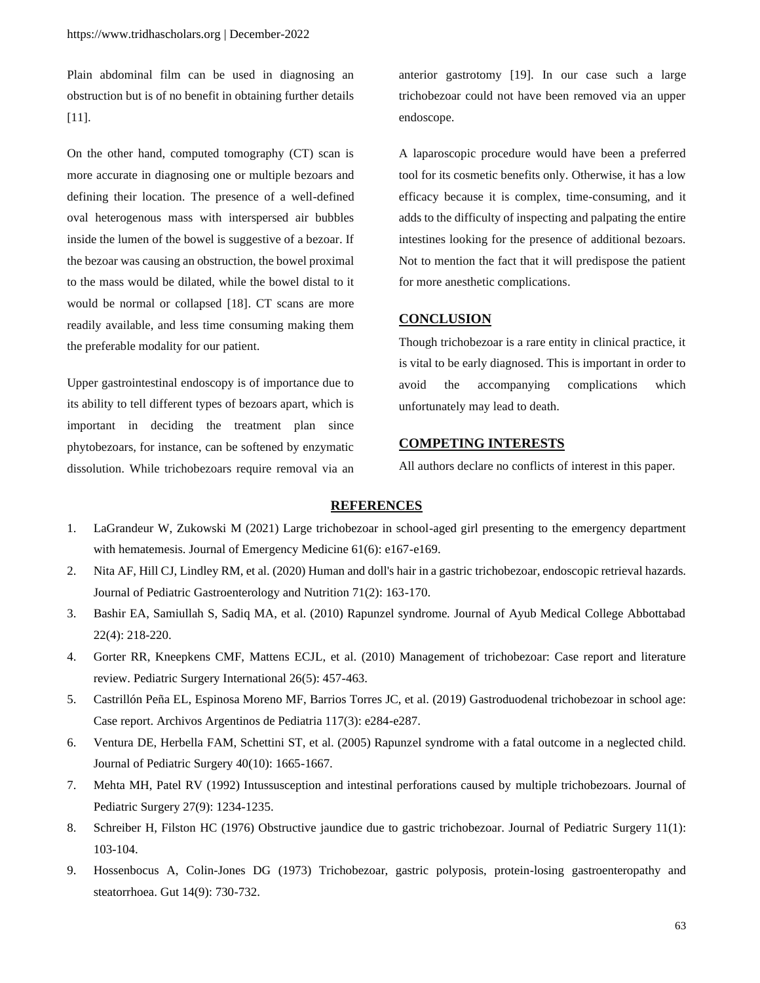Plain abdominal film can be used in diagnosing an obstruction but is of no benefit in obtaining further details [11].

On the other hand, computed tomography (CT) scan is more accurate in diagnosing one or multiple bezoars and defining their location. The presence of a well-defined oval heterogenous mass with interspersed air bubbles inside the lumen of the bowel is suggestive of a bezoar. If the bezoar was causing an obstruction, the bowel proximal to the mass would be dilated, while the bowel distal to it would be normal or collapsed [18]. CT scans are more readily available, and less time consuming making them the preferable modality for our patient.

Upper gastrointestinal endoscopy is of importance due to its ability to tell different types of bezoars apart, which is important in deciding the treatment plan since phytobezoars, for instance, can be softened by enzymatic dissolution. While trichobezoars require removal via an

anterior gastrotomy [19]. In our case such a large trichobezoar could not have been removed via an upper endoscope.

A laparoscopic procedure would have been a preferred tool for its cosmetic benefits only. Otherwise, it has a low efficacy because it is complex, time-consuming, and it adds to the difficulty of inspecting and palpating the entire intestines looking for the presence of additional bezoars. Not to mention the fact that it will predispose the patient for more anesthetic complications.

#### **CONCLUSION**

Though trichobezoar is a rare entity in clinical practice, it is vital to be early diagnosed. This is important in order to avoid the accompanying complications which unfortunately may lead to death.

# **COMPETING INTERESTS**

All authors declare no conflicts of interest in this paper.

## **REFERENCES**

- 1. [LaGrandeur W, Zukowski M \(2021\) Large trichobezoar in school-aged girl presenting to the emergency department](https://www.jem-journal.com/article/S0736-4679(21)00616-8/abstract)  [with hematemesis. Journal of Emergency Medicine 61\(6\): e167-e169.](https://www.jem-journal.com/article/S0736-4679(21)00616-8/abstract)
- 2. [Nita AF, Hill CJ, Lindley RM, et al. \(2020\) Human and doll's hair in a gastric trichobezoar, endoscopic retrieval hazards.](https://journals.lww.com/jpgn/fulltext/2020/08000/human_and_doll_s_hair_in_a_gastric_trichobezoar,.8.aspx)  [Journal of Pediatric Gastroenterology and Nutrition 71\(2\): 163-170.](https://journals.lww.com/jpgn/fulltext/2020/08000/human_and_doll_s_hair_in_a_gastric_trichobezoar,.8.aspx)
- 3. [Bashir EA, Samiullah S, Sadiq MA, et al. \(2010\) Rapunzel syndrome. Journal of Ayub Medical College Abbottabad](https://www.researchgate.net/profile/Eitezaz-Bashir/publication/223135148_Rapunzel_syndrome/links/02e7e531c109742cbc000000/Rapunzel-syndrome.pdf)  [22\(4\): 218-220.](https://www.researchgate.net/profile/Eitezaz-Bashir/publication/223135148_Rapunzel_syndrome/links/02e7e531c109742cbc000000/Rapunzel-syndrome.pdf)
- 4. [Gorter RR, Kneepkens CMF, Mattens ECJL, et al. \(2010\) Management of trichobezoar: Case report and literature](https://link.springer.com/article/10.1007/s00383-010-2570-0)  [review. Pediatric Surgery International 26\(5\): 457-463.](https://link.springer.com/article/10.1007/s00383-010-2570-0)
- 5. [Castrillón Peña EL, Espinosa Moreno MF, Barrios Torres JC, et al. \(2019\) Gastroduodenal trichobezoar in school age:](https://europepmc.org/article/med/31063318)  [Case report. Archivos Argentinos de Pediatria 117\(3\): e284-e287.](https://europepmc.org/article/med/31063318)
- 6. [Ventura DE, Herbella FAM, Schettini ST, et al. \(2005\) Rapunzel syndrome with a fatal outcome in a neglected child.](https://www.sciencedirect.com/science/article/pii/S0022346805004926)  [Journal of Pediatric Surgery 40\(10\): 1665-1667.](https://www.sciencedirect.com/science/article/pii/S0022346805004926)
- 7. [Mehta MH, Patel RV \(1992\) Intussusception and intestinal perforations caused by](https://www.jpedsurg.org/article/0022-3468(92)90797-B/pdf) multiple trichobezoars. Journal of [Pediatric Surgery 27\(9\): 1234-1235.](https://www.jpedsurg.org/article/0022-3468(92)90797-B/pdf)
- 8. [Schreiber H, Filston HC \(1976\) Obstructive jaundice due to gastric trichobezoar. Journal of Pediatric](https://www.sciencedirect.com/science/article/pii/0022346876901822) Surgery 11(1): [103-104.](https://www.sciencedirect.com/science/article/pii/0022346876901822)
- 9. [Hossenbocus A, Colin-Jones DG \(1973\) Trichobezoar, gastric polyposis, protein-losing gastroenteropathy and](https://gut.bmj.com/content/14/9/730.abstract)  [steatorrhoea. Gut 14\(9\): 730-732.](https://gut.bmj.com/content/14/9/730.abstract)